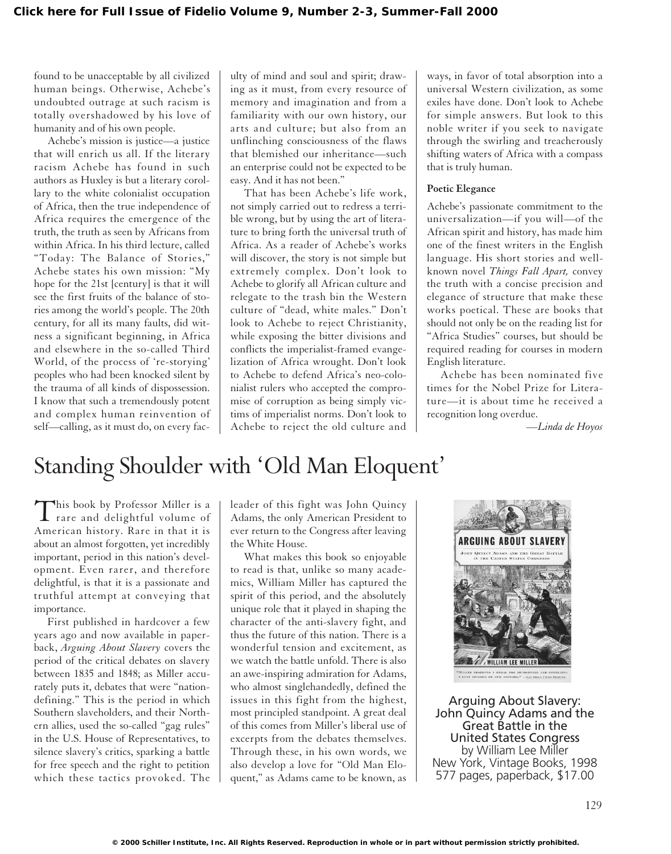found to be unacceptable by all civilized human beings. Otherwise, Achebe's undoubted outrage at such racism is totally overshadowed by his love of humanity and of his own people.

Achebe's mission is justice—a justice that will enrich us all. If the literary racism Achebe has found in such authors as Huxley is but a literary corollary to the white colonialist occupation of Africa, then the true independence of Africa requires the emergence of the truth, the truth as seen by Africans from within Africa. In his third lecture, called "Today: The Balance of Stories," Achebe states his own mission: "My hope for the 21st [century] is that it will see the first fruits of the balance of stories among the world's people. The 20th century, for all its many faults, did witness a significant beginning, in Africa and elsewhere in the so-called Third World, of the process of 're-storying' peoples who had been knocked silent by the trauma of all kinds of dispossession. I know that such a tremendously potent and complex human reinvention of self—calling, as it must do, on every faculty of mind and soul and spirit; drawing as it must, from every resource of memory and imagination and from a familiarity with our own history, our arts and culture; but also from an unflinching consciousness of the flaws that blemished our inheritance—such an enterprise could not be expected to be easy. And it has not been."

That has been Achebe's life work, not simply carried out to redress a terrible wrong, but by using the art of literature to bring forth the universal truth of Africa. As a reader of Achebe's works will discover, the story is not simple but extremely complex. Don't look to Achebe to glorify all African culture and relegate to the trash bin the Western culture of "dead, white males." Don't look to Achebe to reject Christianity, while exposing the bitter divisions and conflicts the imperialist-framed evangelization of Africa wrought. Don't look to Achebe to defend Africa's neo-colonialist rulers who accepted the compromise of corruption as being simply victims of imperialist norms. Don't look to Achebe to reject the old culture and ways, in favor of total absorption into a universal Western civilization, as some exiles have done. Don't look to Achebe for simple answers. But look to this noble writer if you seek to navigate through the swirling and treacherously shifting waters of Africa with a compass that is truly human.

### **Poetic Elegance**

Achebe's passionate commitment to the universalization—if you will—of the African spirit and history, has made him one of the finest writers in the English language. His short stories and wellknown novel *Things Fall Apart,* convey the truth with a concise precision and elegance of structure that make these works poetical. These are books that should not only be on the reading list for "Africa Studies" courses, but should be required reading for courses in modern English literature.

Achebe has been nominated five times for the Nobel Prize for Literature—it is about time he received a recognition long overdue.

*—Linda de Hoyos*

## Standing Shoulder with 'Old Man Eloquent'

This book by Professor Miller is a<br>rare and delightful volume of American history. Rare in that it is about an almost forgotten, yet incredibly important, period in this nation's development. Even rarer, and therefore delightful, is that it is a passionate and truthful attempt at conveying that importance.

First published in hardcover a few years ago and now available in paperback, *Arguing About Slavery* covers the period of the critical debates on slavery between 1835 and 1848; as Miller accurately puts it, debates that were "nationdefining." This is the period in which Southern slaveholders, and their Northern allies, used the so-called "gag rules" in the U.S. House of Representatives, to silence slavery's critics, sparking a battle for free speech and the right to petition which these tactics provoked. The

leader of this fight was John Quincy Adams, the only American President to ever return to the Congress after leaving the White House.

What makes this book so enjoyable to read is that, unlike so many academics, William Miller has captured the spirit of this period, and the absolutely unique role that it played in shaping the character of the anti-slavery fight, and thus the future of this nation. There is a wonderful tension and excitement, as we watch the battle unfold. There is also an awe-inspiring admiration for Adams, who almost singlehandedly, defined the issues in this fight from the highest, most principled standpoint. A great deal of this comes from Miller's liberal use of excerpts from the debates themselves. Through these, in his own words, we also develop a love for "Old Man Eloquent," as Adams came to be known, as



Arguing About Slavery: John Quincy Adams and the Great Battle in the United States Congress by William Lee Miller New York, Vintage Books, 1998 577 pages, paperback, \$17.00